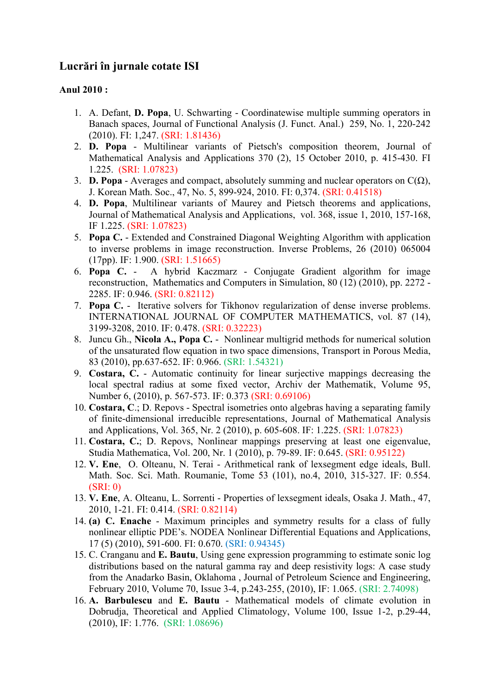# **Lucrări în jurnale cotate ISI**

## **Anul 2010 :**

- 1. A. Defant, **D. Popa**, U. Schwarting Coordinatewise multiple summing operators in Banach spaces, Journal of Functional Analysis (J. Funct. Anal.) 259, No. 1, 220-242 (2010). FI: 1,247. (SRI: 1.81436)
- 2. **D. Popa** Multilinear variants of Pietsch's composition theorem, Journal of Mathematical Analysis and Applications 370 (2), 15 October 2010, p. 415-430. FI 1.225. (SRI: 1.07823)
- 3. **D. Popa** Averages and compact, absolutely summing and nuclear operators on  $C(\Omega)$ , J. Korean Math. Soc., 47, No. 5, 899-924, 2010. FI: 0,374. (SRI: 0.41518)
- 4. **D. Popa**, Multilinear variants of Maurey and Pietsch theorems and applications, Journal of Mathematical Analysis and Applications, vol. 368, issue 1, 2010, 157-168, IF 1.225. (SRI: 1.07823)
- 5. **Popa C.** Extended and Constrained Diagonal Weighting Algorithm with application to inverse problems in image reconstruction. Inverse Problems, 26 (2010) 065004 (17pp). IF: 1.900. (SRI: 1.51665)
- 6. **Popa C.** A hybrid Kaczmarz Conjugate Gradient algorithm for image reconstruction, Mathematics and Computers in Simulation, 80 (12) (2010), pp. 2272 - 2285. IF: 0.946. (SRI: 0.82112)
- 7. **Popa C.** Iterative solvers for Tikhonov regularization of dense inverse problems. INTERNATIONAL JOURNAL OF COMPUTER MATHEMATICS, vol. 87 (14), 3199-3208, 2010. IF: 0.478. (SRI: 0.32223)
- 8. Juncu Gh., **Nicola A., Popa C.** Nonlinear multigrid methods for numerical solution of the unsaturated flow equation in two space dimensions, Transport in Porous Media, 83 (2010), pp.637-652. IF: 0.966. (SRI: 1.54321)
- 9. **Costara, C.** Automatic continuity for linear surjective mappings decreasing the local spectral radius at some fixed vector, Archiv der Mathematik, Volume 95, Number 6, (2010), p. 567-573. IF: 0.373 (SRI: 0.69106)
- 10. **Costara, C**.; D. Repovs Spectral isometries onto algebras having a separating family of finite-dimensional irreducible representations, Journal of Mathematical Analysis and Applications, Vol. 365, Nr. 2 (2010), p. 605-608. IF: 1.225. (SRI: 1.07823)
- 11. **Costara, C.**; D. Repovs, Nonlinear mappings preserving at least one eigenvalue, Studia Mathematica, Vol. 200, Nr. 1 (2010), p. 79-89. IF: 0.645. (SRI: 0.95122)
- 12. **V. Ene**, O. Olteanu, N. Terai Arithmetical rank of lexsegment edge ideals, Bull. Math. Soc. Sci. Math. Roumanie, Tome 53 (101), no.4, 2010, 315-327. IF: 0.554. (SRI: 0)
- 13. **V. Ene**, A. Olteanu, L. Sorrenti Properties of lexsegment ideals, Osaka J. Math., 47, 2010, 1-21. FI: 0.414. (SRI: 0.82114)
- 14. **(a) C. Enache** Maximum principles and symmetry results for a class of fully nonlinear elliptic PDE's. NODEA Nonlinear Differential Equations and Applications, 17 (5) (2010), 591-600. FI: 0.670. (SRI: 0.94345)
- 15. C. Cranganu and **E. Bautu**, Using gene expression programming to estimate sonic log distributions based on the natural gamma ray and deep resistivity logs: A case study from the Anadarko Basin, Oklahoma , Journal of Petroleum Science and Engineering, February 2010, Volume 70, Issue 3-4, p.243-255, (2010), IF: 1.065. (SRI: 2.74098)
- 16. **A. Barbulescu** and **E. Bautu** Mathematical models of climate evolution in Dobrudja, Theoretical and Applied Climatology, Volume 100, Issue 1-2, p.29-44, (2010), IF: 1.776. (SRI: 1.08696)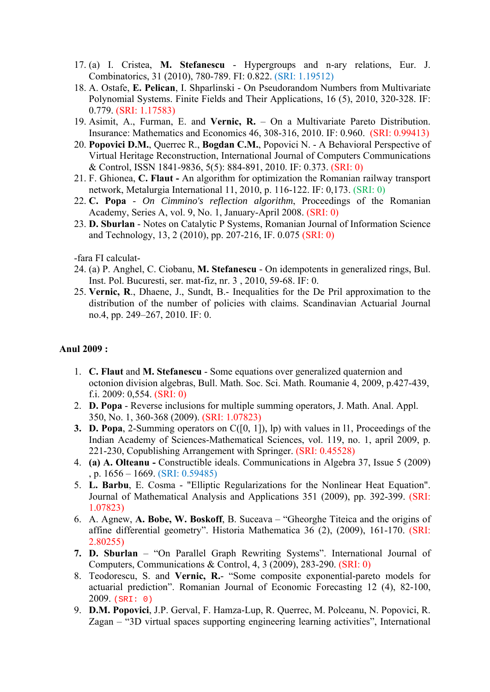- 17. (a) I. Cristea, **M. Stefanescu** Hypergroups and n-ary relations, Eur. J. Combinatorics, 31 (2010), 780-789. FI: 0.822. (SRI: 1.19512)
- 18. A. Ostafe, **E. Pelican**, I. Shparlinski On Pseudorandom Numbers from Multivariate Polynomial Systems. Finite Fields and Their Applications, 16 (5), 2010, 320-328. IF: 0.779. (SRI: 1.17583)
- 19. Asimit, A., Furman, E. and **Vernic, R.** On a Multivariate Pareto Distribution. Insurance: Mathematics and Economics 46, 308-316, 2010. IF: 0.960. (SRI: 0.99413)
- 20. **Popovici D.M.**, Querrec R., **Bogdan C.M.**, Popovici N. A Behavioral Perspective of Virtual Heritage Reconstruction, International Journal of Computers Communications & Control, ISSN 1841-9836, 5(5): 884-891, 2010. IF: 0.373. (SRI: 0)
- 21. F. Ghionea, **C. Flaut -** An algorithm for optimization the Romanian railway transport network, Metalurgia International 11, 2010, p. 116-122. IF: 0,173. (SRI: 0)
- 22. **C. Popa** *On Cimmino's reflection algorithm*, Proceedings of the Romanian Academy, Series A, vol. 9, No. 1, January-April 2008. (SRI: 0)
- 23. **D. Sburlan** Notes on Catalytic P Systems, Romanian Journal of Information Science and Technology, 13, 2 (2010), pp. 207-216, IF. 0.075 (SRI: 0)

-fara FI calculat-

- 24. (a) P. Anghel, C. Ciobanu, **M. Stefanescu** On idempotents in generalized rings, Bul. Inst. Pol. Bucuresti, ser. mat-fiz, nr. 3 , 2010, 59-68. IF: 0.
- 25. **Vernic, R**., Dhaene, J., Sundt, B.- Inequalities for the De Pril approximation to the distribution of the number of policies with claims. Scandinavian Actuarial Journal no.4, pp. 249–267, 2010. IF: 0.

#### **Anul 2009 :**

- 1. **C. Flaut** and **M. Stefanescu** Some equations over generalized quaternion and octonion division algebras, Bull. Math. Soc. Sci. Math. Roumanie 4, 2009, p.427-439, f.i. 2009: 0,554. (SRI: 0)
- 2. **D. Popa** Reverse inclusions for multiple summing operators, J. Math. Anal. Appl. 350, No. 1, 360-368 (2009). (SRI: 1.07823)
- **3. D. Popa**, 2-Summing operators on C([0, 1]), lp) with values in l1, Proceedings of the Indian Academy of Sciences-Mathematical Sciences, vol. 119, no. 1, april 2009, p. 221-230, Copublishing Arrangement with Springer. (SRI: 0.45528)
- 4. **(a) A. Olteanu** Constructible ideals. Communications in Algebra 37, Issue 5 (2009) , p. 1656 – 1669. (SRI: 0.59485)
- 5. **L. Barbu**, E. Cosma "Elliptic Regularizations for the Nonlinear Heat Equation". Journal of Mathematical Analysis and Applications 351 (2009), pp. 392-399. (SRI: 1.07823)
- 6. A. Agnew, **A. Bobe, W. Boskoff**, B. Suceava "Gheorghe Titeica and the origins of affine differential geometry". Historia Mathematica 36 (2), (2009), 161-170. (SRI: 2.80255)
- **7. D. Sburlan** "On Parallel Graph Rewriting Systems". International Journal of Computers, Communications & Control, 4, 3 (2009), 283-290. (SRI: 0)
- 8. Teodorescu, S. and **Vernic, R.** "Some composite exponential-pareto models for actuarial prediction". Romanian Journal of Economic Forecasting 12 (4), 82-100, 2009. (SRI: 0)
- 9. **D.M. Popovici**, J.P. Gerval, F. Hamza-Lup, R. Querrec, M. Polceanu, N. Popovici, R. Zagan – "3D virtual spaces supporting engineering learning activities", International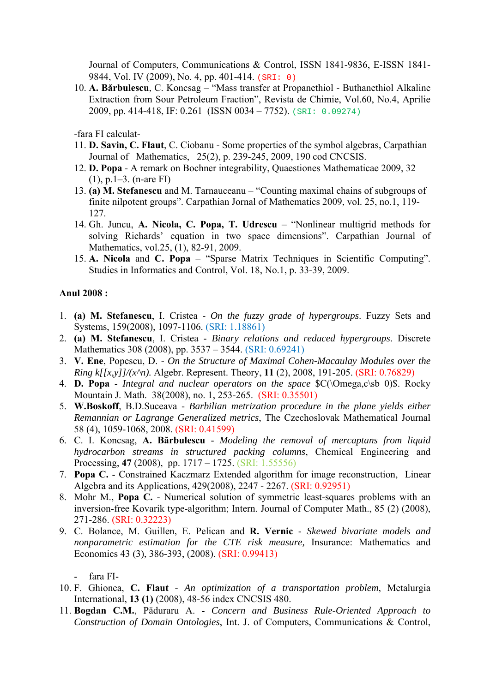Journal of Computers, Communications & Control, ISSN 1841-9836, E-ISSN 1841- 9844, Vol. IV (2009), No. 4, pp. 401-414. (SRI: 0)

10. **A. Bărbulescu**, C. Koncsag – "Mass transfer at Propanethiol - Buthanethiol Alkaline Extraction from Sour Petroleum Fraction", Revista de Chimie, Vol.60, No.4, Aprilie 2009, pp. 414-418, IF: 0.261 (ISSN 0034 – 7752). (SRI: 0.09274)

-fara FI calculat-

- 11. **D. Savin, C. Flaut**, C. Ciobanu Some properties of the symbol algebras, Carpathian Journal of Mathematics, 25(2), p. 239-245, 2009, 190 cod CNCSIS.
- 12. **D. Popa** A remark on Bochner integrability, Quaestiones Mathematicae 2009, 32 (1), p.1–3. (n-are FI)
- 13. **(a) M. Stefanescu** and M. Tarnauceanu "Counting maximal chains of subgroups of finite nilpotent groups". Carpathian Jornal of Mathematics 2009, vol. 25, no.1, 119- 127.
- 14. Gh. Juncu, **A. Nicola, C. Popa, T. Udrescu** "Nonlinear multigrid methods for solving Richards' equation in two space dimensions". Carpathian Journal of Mathematics, vol.25, (1), 82-91, 2009.
- 15. **A. Nicola** and **C. Popa** "Sparse Matrix Techniques in Scientific Computing". Studies in Informatics and Control, Vol. 18, No.1, p. 33-39, 2009.

#### **Anul 2008 :**

- 1. **(a) M. Stefanescu**, I. Cristea *On the fuzzy grade of hypergroups*. Fuzzy Sets and Systems, 159(2008), 1097-1106. (SRI: 1.18861)
- 2. **(a) M. Stefanescu**, I. Cristea *Binary relations and reduced hypergroups*. Discrete Mathematics 308 (2008), pp. 3537 – 3544. (SRI: 0.69241)
- 3. **V. Ene**, Popescu, D. *On the Structure of Maximal Cohen-Macaulay Modules over the Ring k[[x,y]]/(x^n).* Algebr. Represent. Theory, **11** (2), 2008, 191-205. (SRI: 0.76829)
- 4. **D. Popa** *Integral and nuclear operators on the space* \$C(\Omega,c\sb 0)\$. Rocky Mountain J. Math. 38(2008), no. 1, 253-265. (SRI: 0.35501)
- 5. **W.Boskoff**, B.D.Suceava *Barbilian metrization procedure in the plane yields either Remannian or Lagrange Generalized metrics*, The Czechoslovak Mathematical Journal 58 (4), 1059-1068, 2008. (SRI: 0.41599)
- 6. C. I. Koncsag, **A. Bărbulescu** *Modeling the removal of mercaptans from liquid hydrocarbon streams in structured packing columns*, Chemical Engineering and Processing, **47** (2008), pp. 1717 – 1725. (SRI: 1.55556)
- 7. **Popa C.** Constrained Kaczmarz Extended algorithm for image reconstruction, Linear Algebra and its Applications, 429(2008), 2247 - 2267. (SRI: 0.92951)
- 8. Mohr M., **Popa C.** Numerical solution of symmetric least-squares problems with an inversion-free Kovarik type-algorithm; Intern. Journal of Computer Math., 85 (2) (2008), 271-286. (SRI: 0.32223)
- 9. C. Bolance, M. Guillen, E. Pelican and **R. Vernic** *Skewed bivariate models and nonparametric estimation for the CTE risk measure,* Insurance: Mathematics and Economics 43 (3), 386-393, (2008). (SRI: 0.99413)

fara FI-

- 10. F. Ghionea, **C. Flaut** *An optimization of a transportation problem*, Metalurgia International, **13 (1)** (2008), 48-56 index CNCSIS 480.
- 11. **Bogdan C.M.**, Păduraru A. *Concern and Business Rule-Oriented Approach to Construction of Domain Ontologies*, Int. J. of Computers, Communications & Control,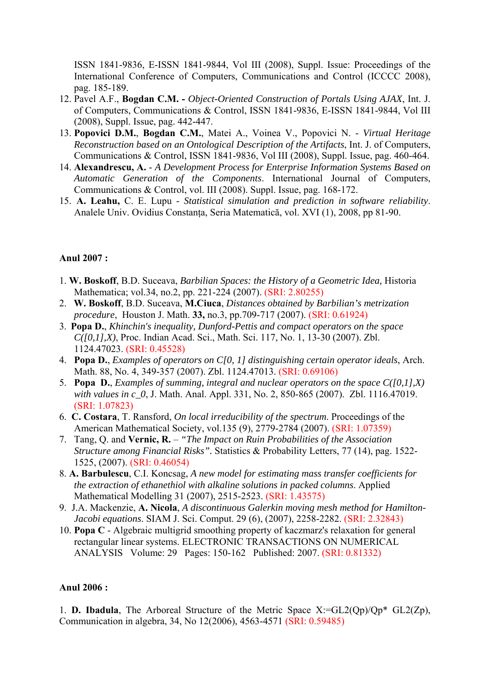ISSN 1841-9836, E-ISSN 1841-9844, Vol III (2008), Suppl. Issue: Proceedings of the International Conference of Computers, Communications and Control (ICCCC 2008), pag. 185-189.

- 12. Pavel A.F., **Bogdan C.M. -** *Object-Oriented Construction of Portals Using AJAX*, Int. J. of Computers, Communications & Control, ISSN 1841-9836, E-ISSN 1841-9844, Vol III (2008), Suppl. Issue, pag. 442-447.
- 13. **Popovici D.M.**, **Bogdan C.M.**, Matei A., Voinea V., Popovici N. *Virtual Heritage Reconstruction based on an Ontological Description of the Artifacts*, Int. J. of Computers, Communications & Control, ISSN 1841-9836, Vol III (2008), Suppl. Issue, pag. 460-464.
- 14. **Alexandrescu, A.** *A Development Process for Enterprise Information Systems Based on Automatic Generation of the Components*. International Journal of Computers, Communications & Control, vol. III (2008). Suppl. Issue, pag. 168-172.
- 15. **A. Leahu,** C. E. Lupu *Statistical simulation and prediction in software reliability*. Analele Univ. Ovidius Constanţa, Seria Matematică, vol. XVI (1), 2008, pp 81-90.

#### **Anul 2007 :**

- 1. **W. Boskoff**, B.D. Suceava, *Barbilian Spaces: the History of a Geometric Idea,* Historia Mathematica; vol.34, no.2, pp. 221-224 (2007). (SRI: 2.80255)
- 2. **W. Boskoff**, B.D. Suceava, **M.Ciuca**, *Distances obtained by Barbilian's metrization procedure*, Houston J. Math. **33,** no.3, pp.709-717 (2007). (SRI: 0.61924)
- 3. **Popa D.**, *Khinchin's inequality, Dunford-Pettis and compact operators on the space C([0,1],X)*, Proc. Indian Acad. Sci., Math. Sci. 117, No. 1, 13-30 (2007). Zbl. 1124.47023. (SRI: 0.45528)
- 4. **Popa D.**, *Examples of operators on C[0, 1] distinguishing certain operator ideals*, Arch. Math. 88, No. 4, 349-357 (2007). Zbl. 1124.47013. (SRI: 0.69106)
- 5. **Popa D.**, *Examples of summing, integral and nuclear operators on the space C([0,1],X) with values in c\_0*, J. Math. Anal. Appl. 331, No. 2, 850-865 (2007). Zbl. 1116.47019. (SRI: 1.07823)
- 6. **C. Costara**, T. Ransford, *On local irreducibility of the spectrum*. Proceedings of the American Mathematical Society, vol.135 (9), 2779-2784 (2007). (SRI: 1.07359)
- 7. Tang, Q. and **Vernic, R.** *"The Impact on Ruin Probabilities of the Association Structure among Financial Risks".* Statistics & Probability Letters, 77 (14), pag. 1522- 1525, (2007). (SRI: 0.46054)
- 8. **A. Barbulescu**, C.I. Koncsag, *A new model for estimating mass transfer coefficients for the extraction of ethanethiol with alkaline solutions in packed columns*. Applied Mathematical Modelling 31 (2007), 2515-2523. (SRI: 1.43575)
- 9. J.A. Mackenzie, **A. Nicola**, *A discontinuous Galerkin moving mesh method for Hamilton-Jacobi equations*. SIAM J. Sci. Comput. 29 (6), (2007), 2258-2282. (SRI: 2.32843)
- 10. **Popa C** Algebraic multigrid smoothing property of kaczmarz's relaxation for general rectangular linear systems. ELECTRONIC TRANSACTIONS ON NUMERICAL ANALYSIS Volume: 29 Pages: 150-162 Published: 2007. (SRI: 0.81332)

#### **Anul 2006 :**

1. **D. Ibadula**, The Arboreal Structure of the Metric Space X:=GL2(Qp)/Qp\* GL2(Zp), Communication in algebra, 34, No 12(2006), 4563-4571 (SRI: 0.59485)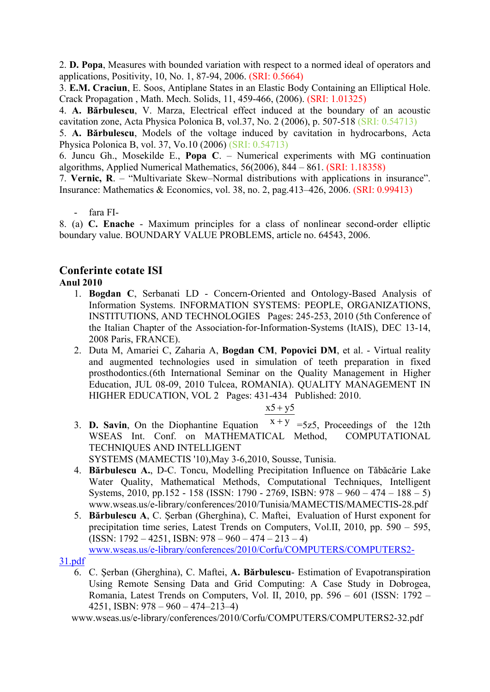2. **D. Popa**, Measures with bounded variation with respect to a normed ideal of operators and applications, Positivity, 10, No. 1, 87-94, 2006. (SRI: 0.5664)

3. **E.M. Craciun**, E. Soos, Antiplane States in an Elastic Body Containing an Elliptical Hole. Crack Propagation , Math. Mech. Solids, 11, 459-466, (2006). (SRI: 1.01325)

4. **A. Bărbulescu**, V. Marza, Electrical effect induced at the boundary of an acoustic cavitation zone, Acta Physica Polonica B, vol.37, No. 2 (2006), p. 507-518 (SRI: 0.54713)

5. **A. Bărbulescu**, Models of the voltage induced by cavitation in hydrocarbons, Acta Physica Polonica B, vol. 37, Vo.10 (2006) (SRI: 0.54713)

6. Juncu Gh., Mosekilde E., **Popa C**. – Numerical experiments with MG continuation algorithms, Applied Numerical Mathematics, 56(2006), 844 – 861. (SRI: 1.18358)

7. **Vernic, R**. – "Multivariate Skew–Normal distributions with applications in insurance". Insurance: Mathematics & Economics, vol. 38, no. 2, pag.413–426, 2006. (SRI: 0.99413)

- fara FI-

8. (a) **C. Enache** - Maximum principles for a class of nonlinear second-order elliptic boundary value. BOUNDARY VALUE PROBLEMS, article no. 64543, 2006.

## **Conferinte cotate ISI**

#### **Anul 2010**

- 1. **Bogdan C**, Serbanati LD Concern-Oriented and Ontology-Based Analysis of Information Systems. INFORMATION SYSTEMS: PEOPLE, ORGANIZATIONS, INSTITUTIONS, AND TECHNOLOGIES Pages: 245-253, 2010 (5th Conference of the Italian Chapter of the Association-for-Information-Systems (ItAIS), DEC 13-14, 2008 Paris, FRANCE).
- 2. Duta M, Amariei C, Zaharia A, **Bogdan CM**, **Popovici DM**, et al. Virtual reality and augmented technologies used in simulation of teeth preparation in fixed prosthodontics.(6th International Seminar on the Quality Management in Higher Education, JUL 08-09, 2010 Tulcea, ROMANIA). QUALITY MANAGEMENT IN HIGHER EDUCATION, VOL 2 Pages: 431-434 Published: 2010.

## $x5 + y5$

3. **D. Savin**, On the Diophantine Equation  $x + y = 5z5$ , Proceedings of the 12th WSEAS Int. Conf. on MATHEMATICAL Method, COMPUTATIONAL TECHNIQUES AND INTELLIGENT

SYSTEMS (MAMECTIS '10),May 3-6,2010, Sousse, Tunisia.

- 4. **Bărbulescu A.**, D-C. Toncu, Modelling Precipitation Influence on Tǎbǎcǎrie Lake Water Quality, Mathematical Methods, Computational Techniques, Intelligent Systems, 2010, pp.152 - 158 (ISSN: 1790 - 2769, ISBN: 978 – 960 – 474 – 188 – 5) www.wseas.us/e-library/conferences/2010/Tunisia/MAMECTIS/MAMECTIS-28.pdf
- 5. **Bărbulescu A**, C. Şerban (Gherghina), C. Maftei, Evaluation of Hurst exponent for precipitation time series, Latest Trends on Computers, Vol.II, 2010, pp. 590 – 595,  $(ISSN: 1792 - 4251, ISBN: 978 - 960 - 474 - 213 - 4)$ www.wseas.us/e-library/conferences/2010/Corfu/COMPUTERS/COMPUTERS2-

#### 31.pdf

6. C. Şerban (Gherghina), C. Maftei, **A. Bărbulescu**- Estimation of Evapotranspiration Using Remote Sensing Data and Grid Computing: A Case Study in Dobrogea, Romania, Latest Trends on Computers, Vol. II, 2010, pp. 596 – 601 (ISSN: 1792 – 4251, ISBN: 978 – 960 – 474–213–4)

www.wseas.us/e-library/conferences/2010/Corfu/COMPUTERS/COMPUTERS2-32.pdf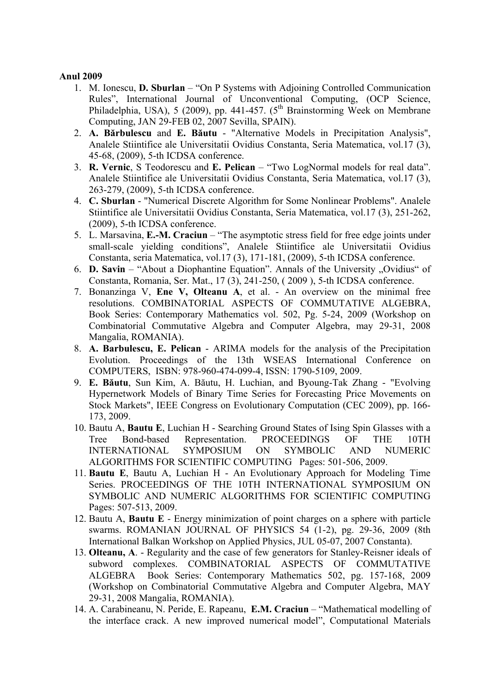- 1. M. Ionescu, **D. Sburlan** "On P Systems with Adjoining Controlled Communication Rules", International Journal of Unconventional Computing, (OCP Science, Philadelphia, USA), 5 (2009), pp. 441-457. ( $5<sup>th</sup>$  Brainstorming Week on Membrane Computing, JAN 29-FEB 02, 2007 Sevilla, SPAIN).
- 2. **A. Bărbulescu** and **E. Băutu** "Alternative Models in Precipitation Analysis", Analele Stiintifice ale Universitatii Ovidius Constanta, Seria Matematica, vol.17 (3), 45-68, (2009), 5-th ICDSA conference.
- 3. **R. Vernic**, S Teodorescu and **E. Pelican** "Two LogNormal models for real data". Analele Stiintifice ale Universitatii Ovidius Constanta, Seria Matematica, vol.17 (3), 263-279, (2009), 5-th ICDSA conference.
- 4. **C. Sburlan** "Numerical Discrete Algorithm for Some Nonlinear Problems". Analele Stiintifice ale Universitatii Ovidius Constanta, Seria Matematica, vol.17 (3), 251-262, (2009), 5-th ICDSA conference.
- 5. L. Marsavina, **E.-M. Craciun** "The asymptotic stress field for free edge joints under small-scale yielding conditions", Analele Stiintifice ale Universitatii Ovidius Constanta, seria Matematica, vol.17 (3), 171-181, (2009), 5-th ICDSA conference.
- 6. **D. Savin** "About a Diophantine Equation". Annals of the University . Ovidius" of Constanta, Romania, Ser. Mat., 17 (3), 241-250, ( 2009 ), 5-th ICDSA conference.
- 7. Bonanzinga V, **Ene V, Olteanu A**, et al. An overview on the minimal free resolutions. COMBINATORIAL ASPECTS OF COMMUTATIVE ALGEBRA, Book Series: Contemporary Mathematics vol. 502, Pg. 5-24, 2009 (Workshop on Combinatorial Commutative Algebra and Computer Algebra, may 29-31, 2008 Mangalia, ROMANIA).
- 8. **A. Barbulescu, E. Pelican** ARIMA models for the analysis of the Precipitation Evolution. Proceedings of the 13th WSEAS International Conference on COMPUTERS, ISBN: 978-960-474-099-4, ISSN: 1790-5109, 2009.
- 9. **E. Băutu**, Sun Kim, A. Băutu, H. Luchian, and Byoung-Tak Zhang "Evolving Hypernetwork Models of Binary Time Series for Forecasting Price Movements on Stock Markets", IEEE Congress on Evolutionary Computation (CEC 2009), pp. 166- 173, 2009.
- 10. Bautu A, **Bautu E**, Luchian H Searching Ground States of Ising Spin Glasses with a Tree Bond-based Representation. PROCEEDINGS OF THE 10TH INTERNATIONAL SYMPOSIUM ON SYMBOLIC AND NUMERIC ALGORITHMS FOR SCIENTIFIC COMPUTING Pages: 501-506, 2009.
- 11. **Bautu E**, Bautu A, Luchian H An Evolutionary Approach for Modeling Time Series. PROCEEDINGS OF THE 10TH INTERNATIONAL SYMPOSIUM ON SYMBOLIC AND NUMERIC ALGORITHMS FOR SCIENTIFIC COMPUTING Pages: 507-513, 2009.
- 12. Bautu A, **Bautu E** Energy minimization of point charges on a sphere with particle swarms. ROMANIAN JOURNAL OF PHYSICS 54 (1-2), pg. 29-36, 2009 (8th International Balkan Workshop on Applied Physics, JUL 05-07, 2007 Constanta).
- 13. **Olteanu, A**. Regularity and the case of few generators for Stanley-Reisner ideals of subword complexes. COMBINATORIAL ASPECTS OF COMMUTATIVE ALGEBRA Book Series: Contemporary Mathematics 502, pg. 157-168, 2009 (Workshop on Combinatorial Commutative Algebra and Computer Algebra, MAY 29-31, 2008 Mangalia, ROMANIA).
- 14. A. Carabineanu, N. Peride, E. Rapeanu, **E.M. Craciun** "Mathematical modelling of the interface crack. A new improved numerical model", Computational Materials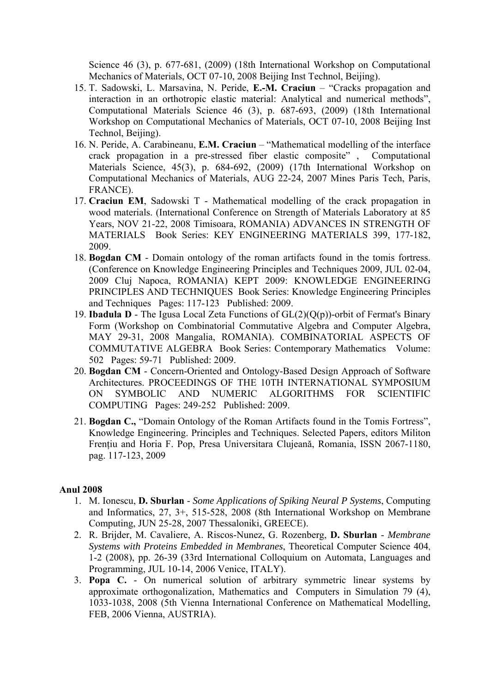Science 46 (3), p. 677-681, (2009) (18th International Workshop on Computational Mechanics of Materials, OCT 07-10, 2008 Beijing Inst Technol, Beijing).

- 15. T. Sadowski, L. Marsavina, N. Peride, **E.-M. Craciun** "Cracks propagation and interaction in an orthotropic elastic material: Analytical and numerical methods", Computational Materials Science 46 (3), p. 687-693, (2009) (18th International Workshop on Computational Mechanics of Materials, OCT 07-10, 2008 Beijing Inst Technol, Beijing).
- 16. N. Peride, A. Carabineanu, **E.M. Craciun** "Mathematical modelling of the interface crack propagation in a pre-stressed fiber elastic composite" , Computational Materials Science, 45(3), p. 684-692, (2009) (17th International Workshop on Computational Mechanics of Materials, AUG 22-24, 2007 Mines Paris Tech, Paris, FRANCE).
- 17. **Craciun EM**, Sadowski T Mathematical modelling of the crack propagation in wood materials. (International Conference on Strength of Materials Laboratory at 85 Years, NOV 21-22, 2008 Timisoara, ROMANIA) ADVANCES IN STRENGTH OF MATERIALS Book Series: KEY ENGINEERING MATERIALS 399, 177-182, 2009.
- 18. **Bogdan CM** Domain ontology of the roman artifacts found in the tomis fortress. (Conference on Knowledge Engineering Principles and Techniques 2009, JUL 02-04, 2009 Cluj Napoca, ROMANIA) KEPT 2009: KNOWLEDGE ENGINEERING PRINCIPLES AND TECHNIQUES Book Series: Knowledge Engineering Principles and Techniques Pages: 117-123 Published: 2009.
- 19. **Ibadula D** The Igusa Local Zeta Functions of GL(2)(Q(p))-orbit of Fermat's Binary Form (Workshop on Combinatorial Commutative Algebra and Computer Algebra, MAY 29-31, 2008 Mangalia, ROMANIA). COMBINATORIAL ASPECTS OF COMMUTATIVE ALGEBRA Book Series: Contemporary Mathematics Volume: 502 Pages: 59-71 Published: 2009.
- 20. **Bogdan CM** Concern-Oriented and Ontology-Based Design Approach of Software Architectures. PROCEEDINGS OF THE 10TH INTERNATIONAL SYMPOSIUM ON SYMBOLIC AND NUMERIC ALGORITHMS FOR SCIENTIFIC COMPUTING Pages: 249-252 Published: 2009.
- 21. **Bogdan C.,** "Domain Ontology of the Roman Artifacts found in the Tomis Fortress", Knowledge Engineering. Principles and Techniques. Selected Papers, editors Militon Frenţiu and Horia F. Pop, Presa Universitara Clujeană, Romania, ISSN 2067-1180, pag. 117-123, 2009

- 1. M. Ionescu, **D. Sburlan** *Some Applications of Spiking Neural P Systems*, Computing and Informatics, 27, 3+, 515-528, 2008 (8th International Workshop on Membrane Computing, JUN 25-28, 2007 Thessaloniki, GREECE).
- 2. R. Brijder, M. Cavaliere, A. Riscos-Nunez, G. Rozenberg, **D. Sburlan** *Membrane Systems with Proteins Embedded in Membranes*, Theoretical Computer Science 404, 1-2 (2008), pp. 26-39 (33rd International Colloquium on Automata, Languages and Programming, JUL 10-14, 2006 Venice, ITALY).
- 3. **Popa C.** On numerical solution of arbitrary symmetric linear systems by approximate orthogonalization, Mathematics and Computers in Simulation 79 (4), 1033-1038, 2008 (5th Vienna International Conference on Mathematical Modelling, FEB, 2006 Vienna, AUSTRIA).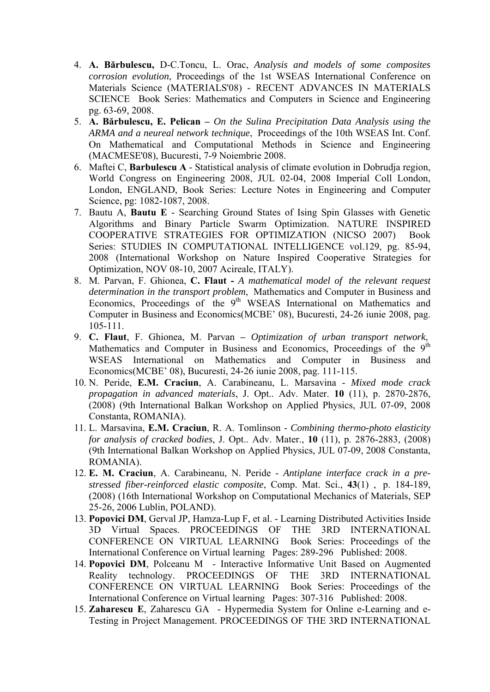- 4. **A. Bărbulescu,** D-C.Toncu, L. Orac, *Analysis and models of some composites corrosion evolution*, Proceedings of the 1st WSEAS International Conference on Materials Science (MATERIALS'08) - RECENT ADVANCES IN MATERIALS SCIENCE Book Series: Mathematics and Computers in Science and Engineering pg. 63-69, 2008.
- 5. **A. Bărbulescu, E. Pelican** *On the Sulina Precipitation Data Analysis using the ARMA and a neureal network technique*, Proceedings of the 10th WSEAS Int. Conf. On Mathematical and Computational Methods in Science and Engineering (MACMESE'08), Bucuresti, 7-9 Noiembrie 2008.
- 6. Maftei C, **Barbulescu A** Statistical analysis of climate evolution in Dobrudja region, World Congress on Engineering 2008, JUL 02-04, 2008 Imperial Coll London, London, ENGLAND, Book Series: Lecture Notes in Engineering and Computer Science, pg: 1082-1087, 2008.
- 7. Bautu A, **Bautu E** Searching Ground States of Ising Spin Glasses with Genetic Algorithms and Binary Particle Swarm Optimization. NATURE INSPIRED COOPERATIVE STRATEGIES FOR OPTIMIZATION (NICSO 2007) Book Series: STUDIES IN COMPUTATIONAL INTELLIGENCE vol.129, pg. 85-94, 2008 (International Workshop on Nature Inspired Cooperative Strategies for Optimization, NOV 08-10, 2007 Acireale, ITALY).
- 8. M. Parvan, F. Ghionea, **C. Flaut** *A mathematical model of the relevant request determination in the transport problem*, Mathematics and Computer in Business and Economics, Proceedings of the  $9<sup>th</sup>$  WSEAS International on Mathematics and Computer in Business and Economics(MCBE' 08), Bucuresti, 24-26 iunie 2008, pag. 105-111.
- 9. **C. Flaut**, F. Ghionea, M. Parvan*Optimization of urban transport network*, Mathematics and Computer in Business and Economics, Proceedings of the 9<sup>th</sup> WSEAS International on Mathematics and Computer in Business and Economics(MCBE' 08), Bucuresti, 24-26 iunie 2008, pag. 111-115.
- 10. N. Peride, **E.M. Craciun**, A. Carabineanu, L. Marsavina *Mixed mode crack propagation in advanced materials*, J. Opt.. Adv. Mater. **10** (11), p. 2870-2876, (2008) (9th International Balkan Workshop on Applied Physics, JUL 07-09, 2008 Constanta, ROMANIA).
- 11. L. Marsavina, **E.M. Craciun**, R. A. Tomlinson *Combining thermo-photo elasticity for analysis of cracked bodies*, J. Opt.. Adv. Mater., **10** (11), p. 2876-2883, (2008) (9th International Balkan Workshop on Applied Physics, JUL 07-09, 2008 Constanta, ROMANIA).
- 12. **E. M. Craciun**, A. Carabineanu, N. Peride *Antiplane interface crack in a prestressed fiber-reinforced elastic composite*, Comp. Mat. Sci., **43**(1) , p. 184-189, (2008) (16th International Workshop on Computational Mechanics of Materials, SEP 25-26, 2006 Lublin, POLAND).
- 13. **Popovici DM**, Gerval JP, Hamza-Lup F, et al. Learning Distributed Activities Inside 3D Virtual Spaces. PROCEEDINGS OF THE 3RD INTERNATIONAL CONFERENCE ON VIRTUAL LEARNING Book Series: Proceedings of the International Conference on Virtual learning Pages: 289-296 Published: 2008.
- 14. **Popovici DM**, Polceanu M Interactive Informative Unit Based on Augmented Reality technology. PROCEEDINGS OF THE 3RD INTERNATIONAL CONFERENCE ON VIRTUAL LEARNING Book Series: Proceedings of the International Conference on Virtual learning Pages: 307-316 Published: 2008.
- 15. **Zaharescu E**, Zaharescu GA Hypermedia System for Online e-Learning and e-Testing in Project Management. PROCEEDINGS OF THE 3RD INTERNATIONAL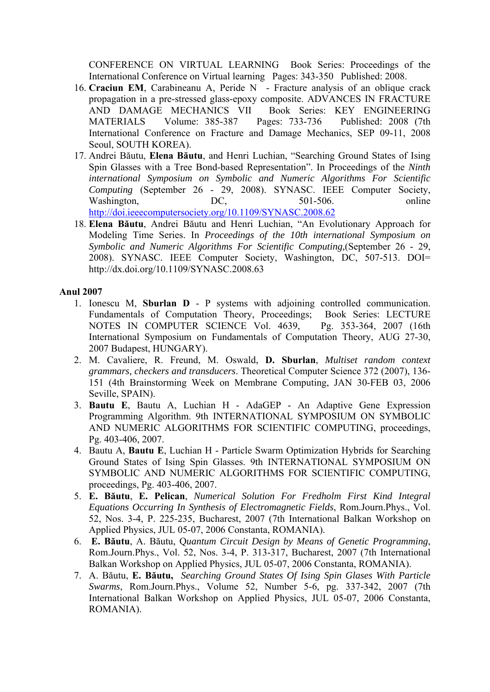CONFERENCE ON VIRTUAL LEARNING Book Series: Proceedings of the International Conference on Virtual learning Pages: 343-350 Published: 2008.

- 16. **Craciun EM**, Carabineanu A, Peride N Fracture analysis of an oblique crack propagation in a pre-stressed glass-epoxy composite. ADVANCES IN FRACTURE AND DAMAGE MECHANICS VII Book Series: KEY ENGINEERING MATERIALS Volume: 385-387 Pages: 733-736 Published: 2008 (7th International Conference on Fracture and Damage Mechanics, SEP 09-11, 2008 Seoul, SOUTH KOREA).
- 17. Andrei Băutu, **Elena Băutu**, and Henri Luchian, "Searching Ground States of Ising Spin Glasses with a Tree Bond-based Representation". In Proceedings of the *Ninth international Symposium on Symbolic and Numeric Algorithms For Scientific Computing* (September 26 - 29, 2008). SYNASC. IEEE Computer Society, Washington, DC, 501-506. online http://doi.ieeecomputersociety.org/10.1109/SYNASC.2008.62
- 18. **Elena Băutu**, Andrei Băutu and Henri Luchian, "An Evolutionary Approach for Modeling Time Series. In *Proceedings of the 10th international Symposium on Symbolic and Numeric Algorithms For Scientific Computing,*(September 26 - 29, 2008). SYNASC. IEEE Computer Society, Washington, DC, 507-513. DOI= http://dx.doi.org/10.1109/SYNASC.2008.63

- 1. Ionescu M, **Sburlan D** P systems with adjoining controlled communication. Fundamentals of Computation Theory, Proceedings; Book Series: LECTURE NOTES IN COMPUTER SCIENCE Vol. 4639, Pg. 353-364, 2007 (16th International Symposium on Fundamentals of Computation Theory, AUG 27-30, 2007 Budapest, HUNGARY).
- 2. M. Cavaliere, R. Freund, M. Oswald, **D. Sburlan**, *Multiset random context grammars, checkers and transducers*. Theoretical Computer Science 372 (2007), 136- 151 (4th Brainstorming Week on Membrane Computing, JAN 30-FEB 03, 2006 Seville, SPAIN).
- 3. **Bautu E**, Bautu A, Luchian H AdaGEP An Adaptive Gene Expression Programming Algorithm. 9th INTERNATIONAL SYMPOSIUM ON SYMBOLIC AND NUMERIC ALGORITHMS FOR SCIENTIFIC COMPUTING, proceedings, Pg. 403-406, 2007.
- 4. Bautu A, **Bautu E**, Luchian H Particle Swarm Optimization Hybrids for Searching Ground States of Ising Spin Glasses. 9th INTERNATIONAL SYMPOSIUM ON SYMBOLIC AND NUMERIC ALGORITHMS FOR SCIENTIFIC COMPUTING, proceedings, Pg. 403-406, 2007.
- 5. **E. Băutu**, **E. Pelican**, *Numerical Solution For Fredholm First Kind Integral Equations Occurring In Synthesis of Electromagnetic Fields*, Rom.Journ.Phys., Vol. 52, Nos. 3-4, P. 225-235, Bucharest, 2007 (7th International Balkan Workshop on Applied Physics, JUL 05-07, 2006 Constanta, ROMANIA).
- 6. **E. Băutu**, A. Băutu, Q*uantum Circuit Design by Means of Genetic Programming*, Rom.Journ.Phys., Vol. 52, Nos. 3-4, P. 313-317, Bucharest, 2007 (7th International Balkan Workshop on Applied Physics, JUL 05-07, 2006 Constanta, ROMANIA).
- 7. A. Băutu, **E. Băutu,** *Searching Ground States Of Ising Spin Glases With Particle Swarms*, Rom.Journ.Phys., Volume 52, Number 5-6, pg. 337-342, 2007 (7th International Balkan Workshop on Applied Physics, JUL 05-07, 2006 Constanta, ROMANIA).